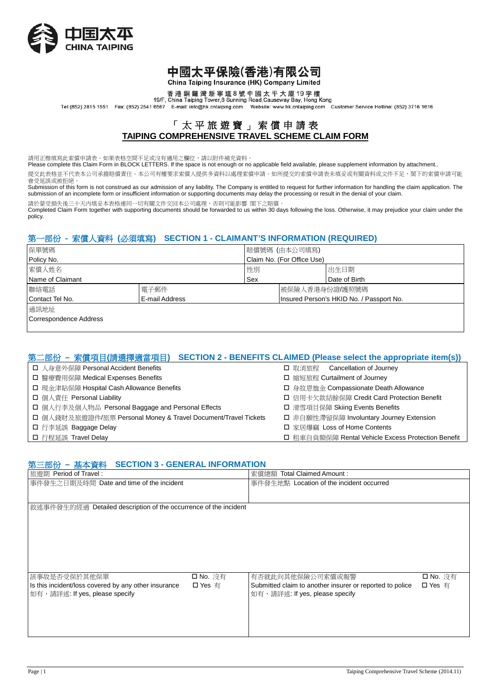

### 中國太平保險(香港)有限公司 China Taiping Insurance (HK) Company Limited

香港銅鑼灣新寧道8號中國太平大廈19字樓<br>19/F, China Taiping Tower,8 Sunning Road,Causeway Bay, Hong Kong

Tel:(852) 2815 1551 Fax: (852) 2541 6567 E-mail: info@hk.cntaiping.com Website: www.hk.cntaiping.com Customer Service Hotline: (852) 3716 1616

### 「太平旅遊寶」 索償申請表 **TAIPING COMPREHENSIVE TRAVEL SCHEME CLAIM FORM**

請用正楷填寫此索償申請表。如果表格空間不足或沒有適用之欄位,請以附件補充資料。

Please complete this Claim Form in BLOCK LETTERS. If the space is not enough or no applicable field available, please supplement information by attachment..

提交此表格並不代表本公司承擔賠償責任。本公司有權要求索償人提供多資料以處理索償申請。如所提交的索償申請表未填妥或有關資料或文件不足,閣下的索償申請可能 會受延誤或被拒絕。

Submission of this form is not construed as our admission of any liability. The Company is entitled to request for further information for handling the claim application. The submission of an incomplete form or insufficient information or supporting documents may delay the processing or result in the denial of your claim.

請於蒙受損失後三十天內填妥本表格連同一切有關文件交回本公司處理,否則可能影響 閣下之賠償。

Completed Claim Form together with supporting documents should be forwarded to us within 30 days following the loss. Otherwise, it may prejudice your claim under the policy.

### 第一部份 **-** 索償人資料 **(**必須填寫**) SECTION 1 - CLAIMANT'S INFORMATION (REQUIRED)**

| 保單號碼                   |                | 賠償號碼 (由本公司填寫)              |                                          |               |
|------------------------|----------------|----------------------------|------------------------------------------|---------------|
| Policy No.             |                | Claim No. (For Office Use) |                                          |               |
| 索償人姓名                  |                | 性別                         |                                          | 出生日期          |
| Name of Claimant       |                | Sex                        |                                          | Date of Birth |
| 聯絡電話                   | 電子郵件           |                            | 被保險人香港身份證/護照號碼                           |               |
| Contact Tel No.        | E-mail Address |                            | Insured Person's HKID No. / Passport No. |               |
| 通訊地址                   |                |                            |                                          |               |
| Correspondence Address |                |                            |                                          |               |
|                        |                |                            |                                          |               |

### 第二部份 **–** 索償項目**(**請選擇適當項目**) SECTION 2 - BENEFITS CLAIMED (Please select the appropriate item(s))**

| □ 人身意外保障 Personal Accident Benefits                            | □ 取消旅程 Cancellation of Journey                     |  |
|----------------------------------------------------------------|----------------------------------------------------|--|
| □ 醫療費用保障 Medical Expenses Benefits                             | □ 縮短旅程 Curtailment of Journey                      |  |
| □ 現金津貼保障 Hospital Cash Allowance Benefits                      | □ 身故恩恤金 Compassionate Death Allowance              |  |
| □ 個人責任 Personal Liability                                      | □ 信用卡欠款結餘保障 Credit Card Protection Benefit         |  |
| □ 個人行李及個人物品 Personal Baggage and Personal Effects              | □ 滑雪項目保障 Skiing Events Benefits                    |  |
| □ 個人錢財及旅遊證件/旅票 Personal Money & Travel Document/Travel Tickets | □ 非自願性滯留保障 Involuntary Journey Extension           |  |
| □ 行李延誤 Baggage Delay                                           | □ 家居爆竊 Loss of Home Contents                       |  |
| ┃ ロ 行程延誤 Travel Delay                                          | □ 租車自負額保障 Rental Vehicle Excess Protection Benefit |  |

### 第三部份 **–** 基本資料 **SECTION 3 - GENERAL INFORMATION**

| Period of Travel:<br>旅遊期                                         |                 | Total Claimed Amount:<br>索償總額                            |                 |
|------------------------------------------------------------------|-----------------|----------------------------------------------------------|-----------------|
| 事件發生之日期及時間 Date and time of the incident                         |                 | 事件發生地點 Location of the incident occurred                 |                 |
|                                                                  |                 |                                                          |                 |
| 敘述事件發生的經過 Detailed description of the occurrence of the incident |                 |                                                          |                 |
|                                                                  |                 |                                                          |                 |
|                                                                  |                 |                                                          |                 |
|                                                                  |                 |                                                          |                 |
|                                                                  |                 |                                                          |                 |
|                                                                  |                 |                                                          |                 |
|                                                                  |                 |                                                          |                 |
|                                                                  |                 |                                                          |                 |
| 該事故是否受保於其他保單                                                     | <b>□ No.</b> 沒有 | 有否就此向其他保險公司索償或報警                                         | <b>□ No.</b> 沒有 |
| Is this incident/loss covered by any other insurance             | □ Yes 有         | Submitted claim to another insurer or reported to police | □ Yes 有         |
| 如有,請詳述: If yes, please specify                                   |                 | 如有,請詳述: If yes, please specify                           |                 |
|                                                                  |                 |                                                          |                 |
|                                                                  |                 |                                                          |                 |
|                                                                  |                 |                                                          |                 |
|                                                                  |                 |                                                          |                 |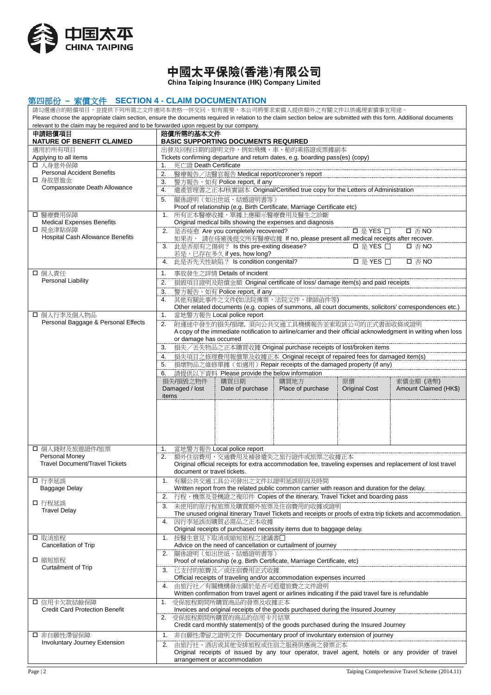

# 中國太平保險(香港)有限公司

China Taiping Insurance (HK) Company Limited

#### 第四部份 **–** 索償文件 **SECTION 4 - CLAIM DOCUMENTATION**

請勾選適合的賠償項目,並提供下列所需之文件連同本表格一併交回。如有需要,本公司將要求索償人提供額外之有關文件以供處理索償事宜用途。 Please choose the appropriate claim section, ensure the documents required in relation to the claim section below are submitted with this form. Additional documents relevant to the claim may be required and to be forwarded upon request by our company. 申請賠償項目 **NATURE OF BENEFIT CLAIMED** 賠償所需的基本文件 **BASIC SUPPORTING DOCUMENTS REQUIRED** 適用於所有項目 Applying to all items 出發及回程日期的證明文件,例如飛機、車、船的乘搭證或票據副本 Tickets confirming departure and return dates, e.g. boarding pass(es) (copy) □ 人身意外保障 Personal Accident Benefits □ 身故恩恤金 Compassionate Death Allowance 1. 死亡證 Death Certificate 2. 醫療報告/法醫官報告 Medical report/coroner's report 3. 警方報告, 如有 Police report, if any **4. 遺產管理書之正本/核實副本 Original/Certified true copy for the Letters of Administration** 5. 關係證明(如出世紙、結婚證明書等) Proof of relationship (e.g. Birth Certificate, Marriage Certificate etc) □ 醫療費用保障 Medical Expenses Benefits □ 現金津貼保障 Hospital Cash Allowance Benefits 1. 所有正本醫療收據,單據上應顯示醫療費用及醫生之診斷 Original medical bills showing the expenses and diagnosis 2. 是否痊愈 Are you completely recovered? <br>
■ 是 YES □ □ 否 NO 如果否, 請在痊癒後提交所有醫療收據 If no, please present all medical receipts after recover. 3. 此是否原有之傷病? Is this pre-exiting disease? 是 YES 否 NO 若是,已存在多久 if yes, how long? 4. 此是否先天性缺陷? Is condition congenital? 是 YES 否 NO □ 個人責任 Personal Liability 1. 事故發生之詳情 Details of incident **2. 損毀項目證明及賠償金額 Original certificate of loss/ damage item(s) and paid receipts** 3. 警方報告,如有 Police report, if any 4. 其他有關此事件之文件(如法院傳票,法院文件,律師函件等) Other related documents (e.g. copies of summons, all court documents, solicitors' correspondences etc.) □ 個人行李及個人物品 Personal Baggage & Personal Effects 1. 當地警方報告 Local police report 2. 附運途中發生的損失/損壞, 須向公共交通工具機構報告並索取該公司的正式書面收條或證明 A copy of the immediate notification to airline/carrier and their official acknowledgment in writing when loss or damage has occurred **3.**  損失/丟失物品之正本購買收據 Original purchase receipts of lost/broken items 4. 損失項目之修理費用報價單及收據正本 Original receipt of repaired fees for damaged item(s) 5. 損壞物品之維修單據(如適用) Repair receipts of the damaged property (if any) **6.** 請提供以下資料 Please provide the below information 損失/損毀之物件 Damaged / lost items 購買日期 Date of purchase 購買地方 Place of purchase 原價 Original Cost 索償金額 (港幣) Amount Claimed (HK\$) □ 個人錢財及旅遊證件/旅票 Personal Money Travel Document/Travel Tickets 1. 當地警方報告 Local police report<br>2. 額外住宿費用、交通費用及補發 2. 額外住宿費用、交通費用及補發遺失之旅行證件或旅票之收據正本 Original official receipts for extra accommodation fee, traveling expenses and replacement of lost travel document or travel tickets. □ 行李延誤 Baggage Delay □ 行程延誤 Travel Delay 1. 有關公共交通工具公司發出之文件以證明延誤原因及時間 Written report from the related public common carrier with reason and duration for the delay. **2. 行程、機票及登機證之複印件 Copies of the itinerary, Travel Ticket and boarding pass** 3. 未使用的原行程旅票及購買額外旅票及住宿費用的收據或證明 The unused original itinerary Travel Tickets and receipts or proofs of extra trip tickets and accommodation. 4. 因行李延誤而購買必需品之正本收據 Original receipts of purchased necessity items due to baggage delay. □ 取消旅程 Cancellation of Trip □ 缩短旅程 Curtailment of Trip 1. 按醫生意見下取消或縮短旅程之建議書 Advice on the need of cancellation or curtailment of journey 2. 關係證明(如出世紙、結婚證明書等) Proof of relationship (e.g. Birth Certificate, Marriage Certificate, etc) **3. 已支付的旅費及/或住宿費用正式收據**  Official receipts of traveling and/or accommodation expenses incurred 4. 由旅行社/有關機構發出關於是否可退還旅費之文件證明 Written confirmation from travel agent or airlines indicating if the paid travel fare is refundable □ 信用卡欠款結餘保障 Credit Card Protection Benefit 1. 受保旅程期間所購買商品的發票及收據正本 Invoices and original receipts of the goods purchased during the Insured Journey<br>2. 受保族程期間所購買的商品的信用卡目结開 2. 受保旅程期間所購買的商品的信用卡月結單 Credit card monthly statement(s) of the goods purchased during the Insured Journey □ 非自願性滯留保障 Involuntary Journey Extension 1. 非自願性滯留之證明文件 Documentary proof of involuntary extension of journey 2. 由旅行社、酒店或其他安排旅程或住宿之服務供應商之發票正本 Original receipts of issued by any tour operator, travel agent, hotels or any provider of travel arrangement or accommodation